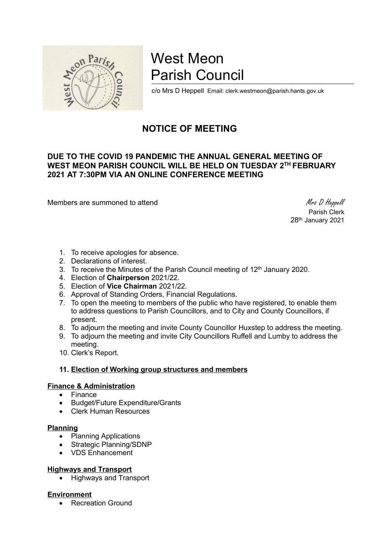

# West Meon Parish Council

c/o Mrs D Heppell Email: clerk.westmeon@parish.hants.gov.uk

# NOTICE OF MEETING

# DUE TO THE COVID 19 PANDEMIC THE ANNUAL GENERAL MEETING OF WEST MEON PARISH COUNCIL WILL BE HELD ON TUESDAY 2TH FEBRUARY 2021 AT 7:30PM VIA AN ONLINE CONFERENCE MEETING

Members are summoned to attend Members are summoned to attend Members and Members are summoned to attend Members and Members are summoned to attend  $M$ rs D Heppell

 Parish Clerk 28th January 2021

- 1. To receive apologies for absence.
- 2. Declarations of interest.
- 3. To receive the Minutes of the Parish Council meeting of 12<sup>th</sup> January 2020.
- 4. Election of Chairperson 2021/22.
- 5. Election of Vice Chairman 2021/22.
- 6. Approval of Standing Orders, Financial Regulations.
- 7. To open the meeting to members of the public who have registered, to enable them to address questions to Parish Councillors, and to City and County Councillors, if present.
- 8. To adjourn the meeting and invite County Councillor Huxstep to address the meeting.
- 9. To adjourn the meeting and invite City Councillors Ruffell and Lumby to address the meeting.
- 10. Clerk's Report.

# 11. Election of Working group structures and members

#### Finance & Administration

- $\bullet$  Finance<br> $\bullet$  Rudget/F
- Budget/Future Expenditure/Grants
- Clerk Human Resources

#### **Planning**

- Planning Applications
- Strategic Planning/SDNP
- VDS Enhancement

# Highways and Transport

• Highways and Transport

#### **Environment**

• Recreation Ground